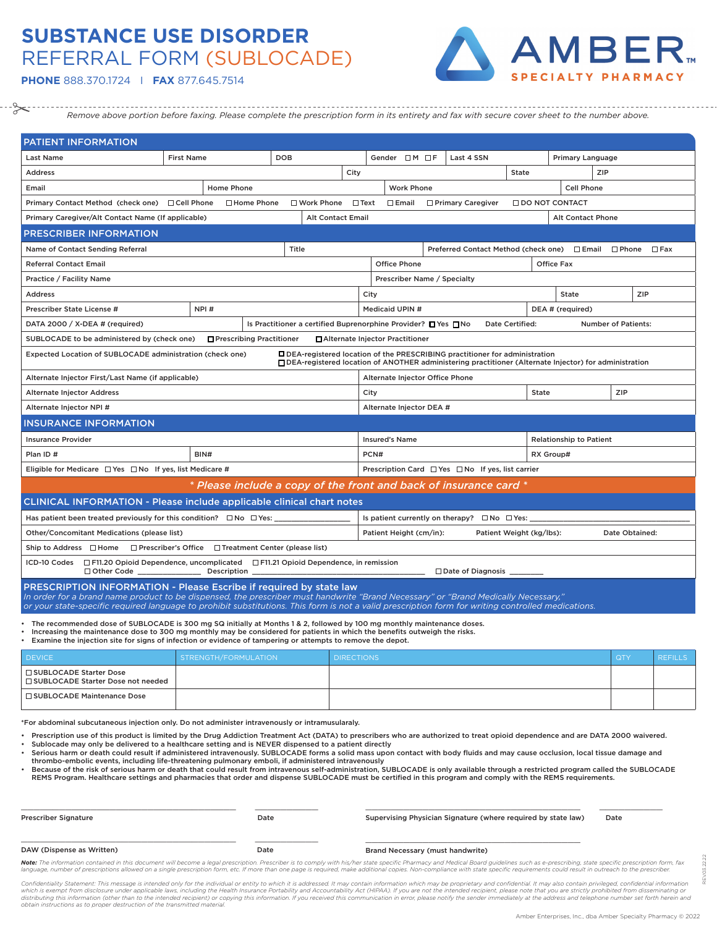## **SUBSTANCE USE DISORDER** REFERRAL FORM (SUBLOCADE)



**PHONE** 888.370.1724 I **FAX** 877.645.7514

 $\approx$ 

*Remove above portion before faxing. Please complete the prescription form in its entirety and fax with secure cover sheet to the number above.*

| <b>PATIENT INFORMATION</b>                                                                                                                                                                                                                                                                                                                                            |                                 |                                                                       |                          |                                                             |                          |                     |                       |                                |                            |            |  |  |  |
|-----------------------------------------------------------------------------------------------------------------------------------------------------------------------------------------------------------------------------------------------------------------------------------------------------------------------------------------------------------------------|---------------------------------|-----------------------------------------------------------------------|--------------------------|-------------------------------------------------------------|--------------------------|---------------------|-----------------------|--------------------------------|----------------------------|------------|--|--|--|
| Last Name                                                                                                                                                                                                                                                                                                                                                             | <b>DOB</b><br><b>First Name</b> |                                                                       |                          |                                                             | Gender $\Box$ M $\Box$ F | Last 4 SSN          |                       | Primary Language               |                            |            |  |  |  |
| <b>Address</b>                                                                                                                                                                                                                                                                                                                                                        | City                            |                                                                       |                          |                                                             |                          |                     | <b>State</b>          | ZIP                            |                            |            |  |  |  |
| Email                                                                                                                                                                                                                                                                                                                                                                 | Home Phone                      |                                                                       |                          | <b>Work Phone</b>                                           |                          |                     |                       | <b>Cell Phone</b>              |                            |            |  |  |  |
| Primary Contact Method (check one) □ Cell Phone                                                                                                                                                                                                                                                                                                                       | □ Home Phone                    | □ Work Phone                                                          | $\square$ Text           | $\square$ Email                                             |                          | □ Primary Caregiver | $\Box$ DO NOT CONTACT |                                |                            |            |  |  |  |
| Primary Caregiver/Alt Contact Name (If applicable)                                                                                                                                                                                                                                                                                                                    |                                 |                                                                       | <b>Alt Contact Email</b> |                                                             |                          |                     |                       | <b>Alt Contact Phone</b>       |                            |            |  |  |  |
| <b>PRESCRIBER INFORMATION</b>                                                                                                                                                                                                                                                                                                                                         |                                 |                                                                       |                          |                                                             |                          |                     |                       |                                |                            |            |  |  |  |
| Name of Contact Sending Referral                                                                                                                                                                                                                                                                                                                                      |                                 | Title                                                                 |                          | Preferred Contact Method (check one) □ Email □ Phone □ Fax  |                          |                     |                       |                                |                            |            |  |  |  |
| <b>Referral Contact Email</b>                                                                                                                                                                                                                                                                                                                                         |                                 |                                                                       |                          | <b>Office Phone</b>                                         |                          |                     |                       | <b>Office Fax</b>              |                            |            |  |  |  |
| Practice / Facility Name                                                                                                                                                                                                                                                                                                                                              |                                 |                                                                       |                          | Prescriber Name / Specialty                                 |                          |                     |                       |                                |                            |            |  |  |  |
| <b>Address</b>                                                                                                                                                                                                                                                                                                                                                        |                                 |                                                                       |                          | City                                                        |                          |                     |                       | <b>State</b>                   |                            | <b>ZIP</b> |  |  |  |
| Prescriber State License #                                                                                                                                                                                                                                                                                                                                            | NPI#                            |                                                                       |                          | <b>Medicaid UPIN #</b>                                      |                          |                     |                       | DEA # (required)               |                            |            |  |  |  |
| DATA 2000 / X-DEA # (required)                                                                                                                                                                                                                                                                                                                                        |                                 | Is Practitioner a certified Buprenorphine Provider? □ Yes □ No        |                          |                                                             |                          |                     | Date Certified:       |                                | <b>Number of Patients:</b> |            |  |  |  |
| SUBLOCADE to be administered by (check one)                                                                                                                                                                                                                                                                                                                           |                                 | □ Prescribing Practitioner                                            |                          | □ Alternate Injector Practitioner                           |                          |                     |                       |                                |                            |            |  |  |  |
| Expected Location of SUBLOCADE administration (check one)<br>□ DEA-registered location of the PRESCRIBING practitioner for administration<br>□ DEA-registered location of ANOTHER administering practitioner (Alternate Injector) for administration                                                                                                                  |                                 |                                                                       |                          |                                                             |                          |                     |                       |                                |                            |            |  |  |  |
| Alternate Injector First/Last Name (if applicable)<br>Alternate Injector Office Phone                                                                                                                                                                                                                                                                                 |                                 |                                                                       |                          |                                                             |                          |                     |                       |                                |                            |            |  |  |  |
| <b>Alternate Injector Address</b>                                                                                                                                                                                                                                                                                                                                     |                                 |                                                                       |                          | City                                                        |                          |                     | State                 | ZIP                            |                            |            |  |  |  |
| Alternate Injector NPI #                                                                                                                                                                                                                                                                                                                                              |                                 |                                                                       |                          | Alternate Injector DEA #                                    |                          |                     |                       |                                |                            |            |  |  |  |
| <b>INSURANCE INFORMATION</b>                                                                                                                                                                                                                                                                                                                                          |                                 |                                                                       |                          |                                                             |                          |                     |                       |                                |                            |            |  |  |  |
| <b>Insurance Provider</b>                                                                                                                                                                                                                                                                                                                                             |                                 |                                                                       |                          | <b>Insured's Name</b>                                       |                          |                     |                       | <b>Relationship to Patient</b> |                            |            |  |  |  |
| Plan ID#                                                                                                                                                                                                                                                                                                                                                              | BIN#                            |                                                                       |                          | PCN#                                                        |                          |                     |                       | RX Group#                      |                            |            |  |  |  |
| Eligible for Medicare $\Box$ Yes $\Box$ No If yes, list Medicare #                                                                                                                                                                                                                                                                                                    |                                 |                                                                       |                          | Prescription Card $\Box$ Yes $\Box$ No If yes, list carrier |                          |                     |                       |                                |                            |            |  |  |  |
|                                                                                                                                                                                                                                                                                                                                                                       |                                 | * Please include a copy of the front and back of insurance card *     |                          |                                                             |                          |                     |                       |                                |                            |            |  |  |  |
| <b>CLINICAL INFORMATION - Please include applicable clinical chart notes</b>                                                                                                                                                                                                                                                                                          |                                 |                                                                       |                          |                                                             |                          |                     |                       |                                |                            |            |  |  |  |
| Has patient been treated previously for this condition? $\square$ No $\square$ Yes:                                                                                                                                                                                                                                                                                   |                                 |                                                                       |                          | Is patient currently on therapy? $\Box$ No $\Box$ Yes:      |                          |                     |                       |                                |                            |            |  |  |  |
| Other/Concomitant Medications (please list)                                                                                                                                                                                                                                                                                                                           |                                 | Patient Height (cm/in):<br>Patient Weight (kg/lbs):<br>Date Obtained: |                          |                                                             |                          |                     |                       |                                |                            |            |  |  |  |
| Ship to Address □ Home □ Prescriber's Office □ Treatment Center (please list)                                                                                                                                                                                                                                                                                         |                                 |                                                                       |                          |                                                             |                          |                     |                       |                                |                            |            |  |  |  |
| ICD-10 Codes □ F11.20 Opioid Dependence, uncomplicated □ F11.21 Opioid Dependence, in remission<br>$\Box$ Other Code<br>Description<br>$\Box$ Date of Diagnosis                                                                                                                                                                                                       |                                 |                                                                       |                          |                                                             |                          |                     |                       |                                |                            |            |  |  |  |
| <b>PRESCRIPTION INFORMATION - Please Escribe if required by state law</b><br>In order for a brand name product to be dispensed, the prescriber must handwrite "Brand Necessary" or "Brand Medically Necessary."<br>or your state-specific required language to prohibit substitutions. This form is not a valid prescription form for writing controlled medications. |                                 |                                                                       |                          |                                                             |                          |                     |                       |                                |                            |            |  |  |  |
| * The recommended dose of SUBLOCADE is 300 mg SQ initially at Months 1 & 2, followed by 100 mg monthly maintenance doses.                                                                                                                                                                                                                                             |                                 |                                                                       |                          |                                                             |                          |                     |                       |                                |                            |            |  |  |  |

• Increasing the maintenance dose to 300 mg monthly may be considered for patients in which the benefits outweigh the risks.

| . Examine the injection site for signs of infection or evidence of tampering or attempts to remove the depot. |
|---------------------------------------------------------------------------------------------------------------|
|                                                                                                               |

| <b>DEVICE</b>                                                       | STRENGTH/FORMULATION | <b>DIRECTIONS</b> | <b>QTY</b> | <b>REFILLS</b> |
|---------------------------------------------------------------------|----------------------|-------------------|------------|----------------|
| ∣ □ SUBLOCADE Starter Dose<br>  □ SUBLOCADE Starter Dose not needed |                      |                   |            |                |
| □ SUBLOCADE Maintenance Dose                                        |                      |                   |            |                |

\*For abdominal subcutaneous injection only. Do not administer intravenously or intramusularaly.

• Prescription use of this product is limited by the Drug Addiction Treatment Act (DATA) to prescribers who are authorized to treat opioid dependence and are DATA 2000 waivered. • Sublocade may only be delivered to a healthcare setting and is NEVER dispensed to a patient directly

• Serious harm or death could result if administered intravenously. SUBLOCADE forms a solid mass upon contact with body fluids and may cause occlusion, local tissue damage and

thrombo-embolic events, including life-threatening pulmonary emboli, if administered intravenously<br>• Because of the risk of serious harm or death that could result from intravenous self-administration, SUBLOCADE is only av REMS Program. Healthcare settings and pharmacies that order and dispense SUBLOCADE must be certified in this program and comply with the REMS requirements.

| <b>Prescriber Signature</b> | Date | Supervising Physician Signature (where required by state law) | Date |
|-----------------------------|------|---------------------------------------------------------------|------|
| DAW (Dispense as Written)   | Date | Brand Necessary (must handwrite)                              |      |

Note: The information contained in this document will become a legal prescription. Prescriber is to comply with his/her state specific Pharmacy and Medical Board guidelines such as e-prescribing, state specific prescriptio language, number of prescriptions allowed on a single prescription form, etc. If more than one page is required, make additional copies. Non-compliance with state specific requirements could result in outreach to the presc

Confidentiality Statement: This message is intended only for the individual or entity to which it is addressed. It may contain information which may be proprietary and confidential. It may also contain privileged, confiden distributing this information (other than to the intended recipient) or copying this information. If you received this communication in error, please notify the sender immediately at the address and telephone number set fo *obtain instructions as to proper destruction of the transmitted material.*

REV.03.22.22

R.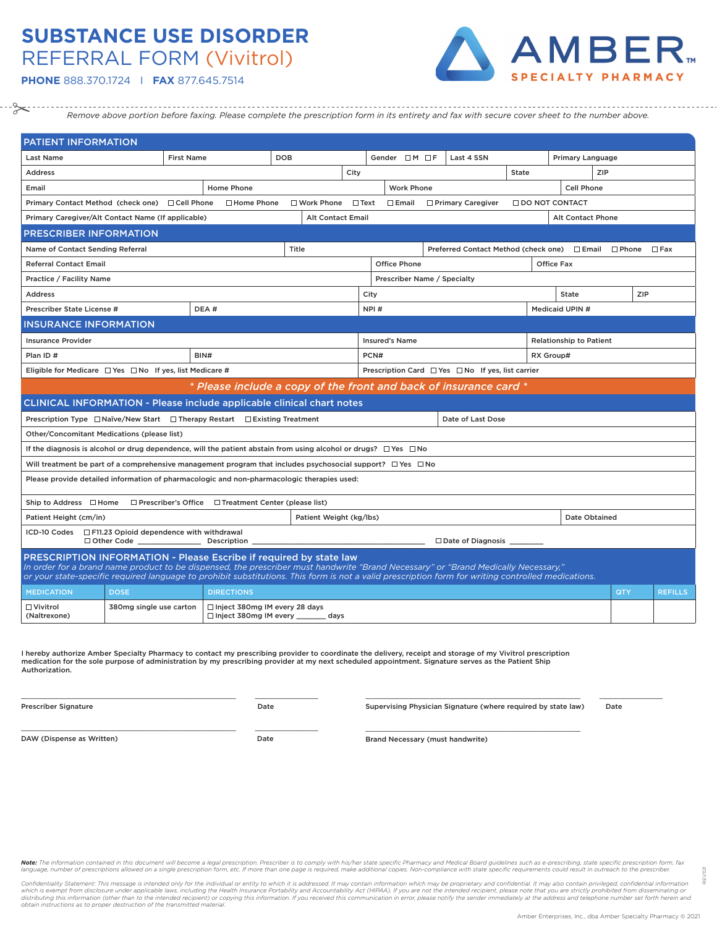## **SUBSTANCE USE DISORDER** REFERRAL FORM (Vivitrol)



**PHONE** 888.370.1724 I **FAX** 877.645.7514

--------------------------*Remove above portion before faxing. Please complete the prescription form in its entirety and fax with secure cover sheet to the number above.*

| PATIENT INFORMATION                                                                                                                                                                                                                                                                                                                                            |                         |                   |                                                                   |                         |             |                       |                        |  |                                                      |                   |                                |     |  |                |  |  |
|----------------------------------------------------------------------------------------------------------------------------------------------------------------------------------------------------------------------------------------------------------------------------------------------------------------------------------------------------------------|-------------------------|-------------------|-------------------------------------------------------------------|-------------------------|-------------|-----------------------|------------------------|--|------------------------------------------------------|-------------------|--------------------------------|-----|--|----------------|--|--|
| <b>Last Name</b>                                                                                                                                                                                                                                                                                                                                               |                         | <b>First Name</b> | <b>DOB</b>                                                        |                         |             |                       | Gender $\Box M \Box F$ |  | Last 4 SSN                                           |                   | Primary Language               |     |  |                |  |  |
| <b>Address</b>                                                                                                                                                                                                                                                                                                                                                 |                         |                   | City                                                              |                         |             |                       |                        |  |                                                      | State             |                                | ZIP |  |                |  |  |
| Email                                                                                                                                                                                                                                                                                                                                                          |                         |                   | <b>Home Phone</b>                                                 |                         |             | <b>Work Phone</b>     |                        |  |                                                      |                   | <b>Cell Phone</b>              |     |  |                |  |  |
| Primary Contact Method (check one)                                                                                                                                                                                                                                                                                                                             |                         | □ Cell Phone      | □ Home Phone                                                      | □ Work Phone            | $\Box$ Text | $\square$ Email       |                        |  | □ Primary Caregiver                                  | □ DO NOT CONTACT  |                                |     |  |                |  |  |
| <b>Alt Contact Email</b><br>Primary Caregiver/Alt Contact Name (If applicable)                                                                                                                                                                                                                                                                                 |                         |                   |                                                                   |                         |             |                       |                        |  |                                                      | Alt Contact Phone |                                |     |  |                |  |  |
| PRESCRIBER INFORMATION                                                                                                                                                                                                                                                                                                                                         |                         |                   |                                                                   |                         |             |                       |                        |  |                                                      |                   |                                |     |  |                |  |  |
| Name of Contact Sending Referral                                                                                                                                                                                                                                                                                                                               |                         |                   |                                                                   | Title                   |             |                       |                        |  | Preferred Contact Method (check one) □ Email □ Phone |                   |                                |     |  | $\Box$ Fax     |  |  |
| <b>Referral Contact Email</b>                                                                                                                                                                                                                                                                                                                                  |                         |                   |                                                                   |                         |             | <b>Office Phone</b>   |                        |  |                                                      |                   | <b>Office Fax</b>              |     |  |                |  |  |
| Practice / Facility Name                                                                                                                                                                                                                                                                                                                                       |                         |                   |                                                                   |                         |             |                       |                        |  | Prescriber Name / Specialty                          |                   |                                |     |  |                |  |  |
| <b>Address</b>                                                                                                                                                                                                                                                                                                                                                 |                         |                   |                                                                   |                         |             | City                  |                        |  |                                                      |                   | ZIP<br><b>State</b>            |     |  |                |  |  |
| Prescriber State License #                                                                                                                                                                                                                                                                                                                                     |                         | DEA#              |                                                                   |                         |             | NPI#                  |                        |  |                                                      |                   | Medicaid UPIN #                |     |  |                |  |  |
| <b>INSURANCE INFORMATION</b>                                                                                                                                                                                                                                                                                                                                   |                         |                   |                                                                   |                         |             |                       |                        |  |                                                      |                   |                                |     |  |                |  |  |
| <b>Insurance Provider</b>                                                                                                                                                                                                                                                                                                                                      |                         |                   |                                                                   |                         |             | <b>Insured's Name</b> |                        |  |                                                      |                   | <b>Relationship to Patient</b> |     |  |                |  |  |
| Plan ID#<br>BIN#                                                                                                                                                                                                                                                                                                                                               |                         |                   |                                                                   |                         |             | PCN#<br>RX Group#     |                        |  |                                                      |                   |                                |     |  |                |  |  |
| Eligible for Medicare $\Box$ Yes $\Box$ No If yes, list Medicare #                                                                                                                                                                                                                                                                                             |                         |                   |                                                                   |                         |             |                       |                        |  | Prescription Card □ Yes □ No If yes, list carrier    |                   |                                |     |  |                |  |  |
|                                                                                                                                                                                                                                                                                                                                                                |                         |                   | * Please include a copy of the front and back of insurance card * |                         |             |                       |                        |  |                                                      |                   |                                |     |  |                |  |  |
| <b>CLINICAL INFORMATION - Please include applicable clinical chart notes</b>                                                                                                                                                                                                                                                                                   |                         |                   |                                                                   |                         |             |                       |                        |  |                                                      |                   |                                |     |  |                |  |  |
| Prescription Type $\Box$ Naïve/New Start $\Box$ Therapy Restart $\Box$ Existing Treatment                                                                                                                                                                                                                                                                      |                         |                   |                                                                   |                         |             |                       |                        |  | Date of Last Dose                                    |                   |                                |     |  |                |  |  |
| Other/Concomitant Medications (please list)                                                                                                                                                                                                                                                                                                                    |                         |                   |                                                                   |                         |             |                       |                        |  |                                                      |                   |                                |     |  |                |  |  |
| If the diagnosis is alcohol or drug dependence, will the patient abstain from using alcohol or drugs? $\Box$ Yes $\Box$ No                                                                                                                                                                                                                                     |                         |                   |                                                                   |                         |             |                       |                        |  |                                                      |                   |                                |     |  |                |  |  |
| Will treatment be part of a comprehensive management program that includes psychosocial support? $\Box$ Yes $\Box$ No                                                                                                                                                                                                                                          |                         |                   |                                                                   |                         |             |                       |                        |  |                                                      |                   |                                |     |  |                |  |  |
| Please provide detailed information of pharmacologic and non-pharmacologic therapies used:                                                                                                                                                                                                                                                                     |                         |                   |                                                                   |                         |             |                       |                        |  |                                                      |                   |                                |     |  |                |  |  |
| Ship to Address □ Home                                                                                                                                                                                                                                                                                                                                         |                         |                   | $\Box$ Prescriber's Office $\Box$ Treatment Center (please list)  |                         |             |                       |                        |  |                                                      |                   |                                |     |  |                |  |  |
| Patient Height (cm/in)                                                                                                                                                                                                                                                                                                                                         |                         |                   |                                                                   | Patient Weight (kg/lbs) |             | Date Obtained         |                        |  |                                                      |                   |                                |     |  |                |  |  |
| $\Box$ F11.23 Opioid dependence with withdrawal<br>ICD-10 Codes<br>$\Box$ Other Code<br>Description<br>$\Box$ Date of Diagnosis $\Box$                                                                                                                                                                                                                         |                         |                   |                                                                   |                         |             |                       |                        |  |                                                      |                   |                                |     |  |                |  |  |
| PRESCRIPTION INFORMATION - Please Escribe if required by state law<br>In order for a brand name product to be dispensed, the prescriber must handwrite "Brand Necessary" or "Brand Medically Necessary."<br>or your state-specific required language to prohibit substitutions. This form is not a valid prescription form for writing controlled medications. |                         |                   |                                                                   |                         |             |                       |                        |  |                                                      |                   |                                |     |  |                |  |  |
| <b>MEDICATION</b>                                                                                                                                                                                                                                                                                                                                              | <b>DOSE</b>             |                   | <b>DIRECTIONS</b>                                                 |                         |             |                       |                        |  |                                                      |                   |                                | QTY |  | <b>REFILLS</b> |  |  |
| $\Box$ Vivitrol<br>(Naltrexone)                                                                                                                                                                                                                                                                                                                                | 380mg single use carton |                   | □ Inject 380mg IM every 28 days<br>□ Inject 380mg IM every        | days                    |             |                       |                        |  |                                                      |                   |                                |     |  |                |  |  |

I hereby authorize Amber Specialty Pharmacy to contact my prescribing provider to coordinate the delivery, receipt and storage of my Vivitrol prescription medication for the sole purpose of administration by my prescribing provider at my next scheduled appointment. Signature serves as the Patient Ship Authorization.

Prescriber Signature **Date** 

Supervising Physician Signature (where required by state law) Date \_\_\_\_\_\_\_\_\_\_\_\_\_\_\_\_\_\_\_\_\_\_\_\_\_\_\_\_\_\_\_\_\_\_

\_\_\_\_\_\_\_\_\_\_\_\_\_\_\_\_\_\_\_\_\_\_\_\_\_\_\_\_\_\_\_\_\_\_ \_\_\_\_\_\_\_\_\_\_

DAW (Dispense as Written) Date

\_\_\_\_\_\_\_\_\_\_\_\_\_\_\_\_\_\_\_\_\_\_\_\_\_\_\_\_\_\_\_\_\_\_ \_\_\_\_\_\_\_\_\_\_

\_\_\_\_\_\_\_\_\_\_\_\_\_\_\_\_\_\_\_\_\_\_\_\_\_\_\_\_\_\_\_\_\_\_ \_\_\_\_\_\_\_\_\_\_

Brand Necessary (must handwrite)

Note: The information contained in this document will become a legal prescription. Prescriber is to comply with his/her state specific Pharmacy and Medical Board guidelines such as e-prescribing, state specific prescriptio language, number of prescriptions allowed on a single prescription form, etc. If more than one page is required, make additional copies. Non-compliance with state specific requirements could result in outreach to the presc

Confidentiality Statement: This message is intended only for the individual or entity to which it is addressed. It may contain information which may be proprietary and confidential. It may also contain privileged, confiden distributing this information (other than to the intended recipient) or copying this information. If you received this communication in error, please notify the sender immediately at the address and telephone number set fo *obtain instructions as to proper destruction of the transmitted material.*

REV.1121

REV.1121